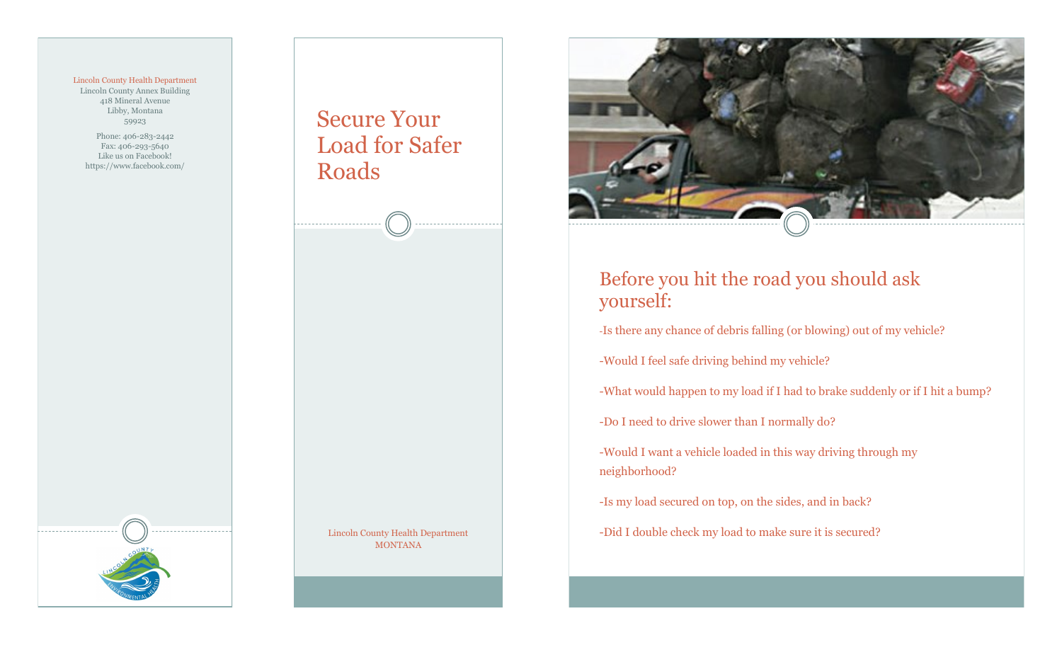## Lincoln County Health Department

Lincoln County Annex Building 418 Mineral Avenue Libby, Montana 59923

Phone: 406-283-2442 Fax: 406-293-5640 Like us on Facebook! https://www.facebook.com/ Secure Your Load for Safer Roads

> Lincoln County Health Department MONTANA



## Before you hit the road you should ask yourself:

-Is there any chance of debris falling (or blowing) out of my vehicle?

-Would I feel safe driving behind my vehicle?

-What would happen to my load if I had to brake suddenly or if I hit a bump?

-Do I need to drive slower than I normally do?

-Would I want a vehicle loaded in this way driving through my neighborhood?

-Is my load secured on top, on the sides, and in back?

-Did I double check my load to make sure it is secured?